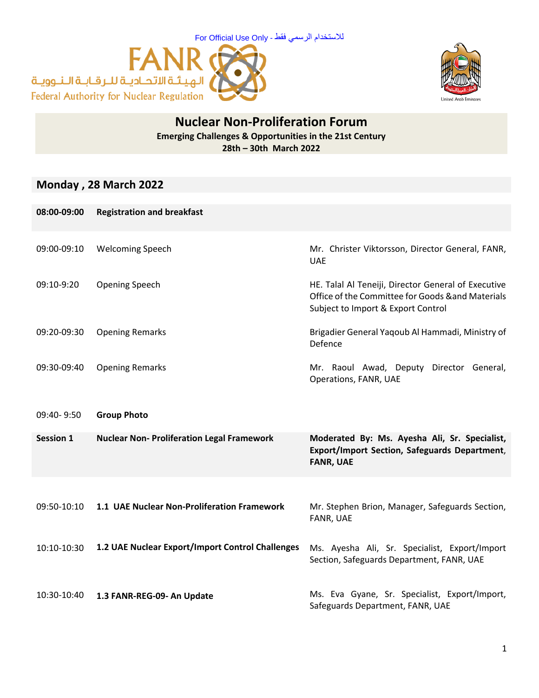



## **Nuclear Non-Proliferation Forum Emerging Challenges & Opportunities in the 21st Century 28th – 30th March 2022**

## **Monday , 28 March 2022**

| 08:00-09:00      | <b>Registration and breakfast</b>                 |                                                                                                                                                |
|------------------|---------------------------------------------------|------------------------------------------------------------------------------------------------------------------------------------------------|
| 09:00-09:10      | <b>Welcoming Speech</b>                           | Mr. Christer Viktorsson, Director General, FANR,<br><b>UAE</b>                                                                                 |
| 09:10-9:20       | Opening Speech                                    | HE. Talal Al Teneiji, Director General of Executive<br>Office of the Committee for Goods & and Materials<br>Subject to Import & Export Control |
| 09:20-09:30      | <b>Opening Remarks</b>                            | Brigadier General Yaqoub Al Hammadi, Ministry of<br>Defence                                                                                    |
| 09:30-09:40      | <b>Opening Remarks</b>                            | Mr. Raoul Awad, Deputy Director General,<br>Operations, FANR, UAE                                                                              |
| 09:40-9:50       | <b>Group Photo</b>                                |                                                                                                                                                |
| <b>Session 1</b> | <b>Nuclear Non- Proliferation Legal Framework</b> | Moderated By: Ms. Ayesha Ali, Sr. Specialist,<br><b>Export/Import Section, Safeguards Department,</b><br><b>FANR, UAE</b>                      |
|                  |                                                   |                                                                                                                                                |
| 09:50-10:10      | 1.1 UAE Nuclear Non-Proliferation Framework       | Mr. Stephen Brion, Manager, Safeguards Section,<br>FANR, UAE                                                                                   |
| 10:10-10:30      | 1.2 UAE Nuclear Export/Import Control Challenges  | Ms. Ayesha Ali, Sr. Specialist, Export/Import<br>Section, Safeguards Department, FANR, UAE                                                     |
| 10:30-10:40      | 1.3 FANR-REG-09- An Update                        | Ms. Eva Gyane, Sr. Specialist, Export/Import,<br>Safeguards Department, FANR, UAE                                                              |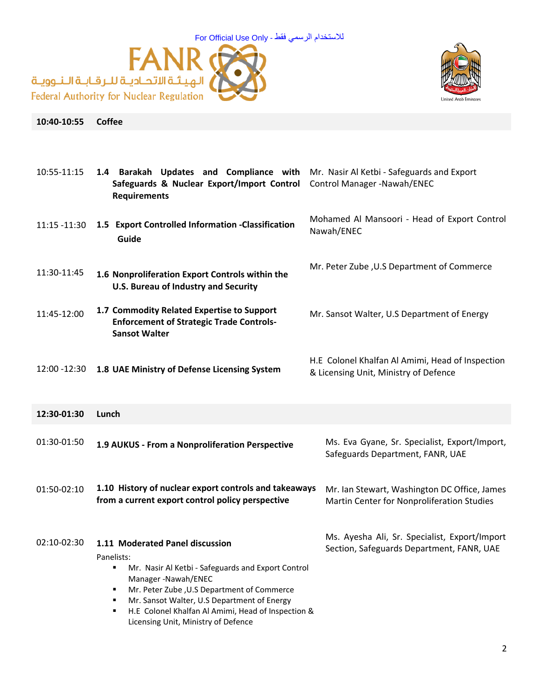



## **10:40-10:55 Coffee**

| 10:55-11:15   | 1.4 Barakah Updates and Compliance with<br>Safeguards & Nuclear Export/Import Control<br><b>Requirements</b>                                                                                                                                                                                                                                            | Mr. Nasir Al Ketbi - Safeguards and Export<br>Control Manager - Nawah/ENEC                 |
|---------------|---------------------------------------------------------------------------------------------------------------------------------------------------------------------------------------------------------------------------------------------------------------------------------------------------------------------------------------------------------|--------------------------------------------------------------------------------------------|
| 11:15 -11:30  | 1.5 Export Controlled Information -Classification<br>Guide                                                                                                                                                                                                                                                                                              | Mohamed Al Mansoori - Head of Export Control<br>Nawah/ENEC                                 |
| 11:30-11:45   | 1.6 Nonproliferation Export Controls within the<br><b>U.S. Bureau of Industry and Security</b>                                                                                                                                                                                                                                                          | Mr. Peter Zube, U.S Department of Commerce                                                 |
| 11:45-12:00   | 1.7 Commodity Related Expertise to Support<br><b>Enforcement of Strategic Trade Controls-</b><br><b>Sansot Walter</b>                                                                                                                                                                                                                                   | Mr. Sansot Walter, U.S Department of Energy                                                |
| 12:00 - 12:30 | 1.8 UAE Ministry of Defense Licensing System                                                                                                                                                                                                                                                                                                            | H.E Colonel Khalfan Al Amimi, Head of Inspection<br>& Licensing Unit, Ministry of Defence  |
| 12:30-01:30   | Lunch                                                                                                                                                                                                                                                                                                                                                   |                                                                                            |
| 01:30-01:50   | 1.9 AUKUS - From a Nonproliferation Perspective                                                                                                                                                                                                                                                                                                         | Ms. Eva Gyane, Sr. Specialist, Export/Import,<br>Safeguards Department, FANR, UAE          |
| 01:50-02:10   | 1.10 History of nuclear export controls and takeaways<br>from a current export control policy perspective                                                                                                                                                                                                                                               | Mr. Ian Stewart, Washington DC Office, James<br>Martin Center for Nonproliferation Studies |
| 02:10-02:30   | 1.11 Moderated Panel discussion<br>Panelists:<br>Mr. Nasir Al Ketbi - Safeguards and Export Control<br>$\blacksquare$<br>Manager-Nawah/ENEC<br>Mr. Peter Zube, U.S Department of Commerce<br>$\blacksquare$<br>Mr. Sansot Walter, U.S Department of Energy<br>H.E Colonel Khalfan Al Amimi, Head of Inspection &<br>Licensing Unit, Ministry of Defence | Ms. Ayesha Ali, Sr. Specialist, Export/Import<br>Section, Safeguards Department, FANR, UAE |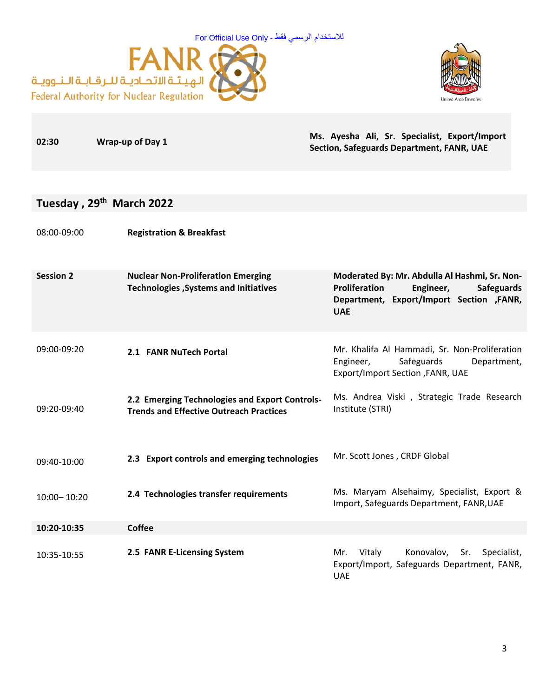



**Ms. Ayesha Ali, Sr. Specialist, Export/Import** 

| 02:30            | Wrap-up of Day 1                                                                                 | ivis. Ayesiid Ali, 31. Specialist, Export/Illiport<br>Section, Safeguards Department, FANR, UAE                                                             |
|------------------|--------------------------------------------------------------------------------------------------|-------------------------------------------------------------------------------------------------------------------------------------------------------------|
|                  |                                                                                                  |                                                                                                                                                             |
|                  | Tuesday, 29 <sup>th</sup> March 2022                                                             |                                                                                                                                                             |
| 08:00-09:00      | <b>Registration &amp; Breakfast</b>                                                              |                                                                                                                                                             |
| <b>Session 2</b> | <b>Nuclear Non-Proliferation Emerging</b><br>Technologies, Systems and Initiatives               | Moderated By: Mr. Abdulla Al Hashmi, Sr. Non-<br>Proliferation<br>Engineer,<br><b>Safeguards</b><br>Department, Export/Import Section , FANR,<br><b>UAE</b> |
| 09:00-09:20      | 2.1 FANR NuTech Portal                                                                           | Mr. Khalifa Al Hammadi, Sr. Non-Proliferation<br>Safeguards<br>Engineer,<br>Department,<br>Export/Import Section , FANR, UAE                                |
| 09:20-09:40      | 2.2 Emerging Technologies and Export Controls-<br><b>Trends and Effective Outreach Practices</b> | Ms. Andrea Viski, Strategic Trade Research<br>Institute (STRI)                                                                                              |
| 09:40-10:00      | 2.3 Export controls and emerging technologies                                                    | Mr. Scott Jones, CRDF Global                                                                                                                                |
| 10:00-10:20      | 2.4 Technologies transfer requirements                                                           | Ms. Maryam Alsehaimy, Specialist, Export &<br>Import, Safeguards Department, FANR, UAE                                                                      |
| 10:20-10:35      | <b>Coffee</b>                                                                                    |                                                                                                                                                             |
| 10:35-10:55      | 2.5 FANR E-Licensing System                                                                      | Vitaly<br>Konovalov,<br>Sr.<br>Specialist,<br>Mr.<br>Export/Import, Safeguards Department, FANR,<br><b>UAE</b>                                              |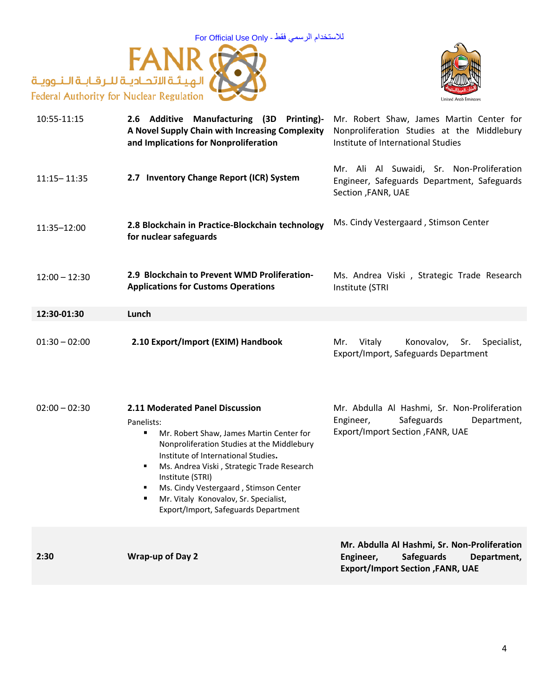



| 10:55-11:15     | 2.6 Additive Manufacturing (3D Printing)-<br>A Novel Supply Chain with Increasing Complexity<br>and Implications for Nonproliferation                                                                                                                                                                                                                                                     | Mr. Robert Shaw, James Martin Center for<br>Nonproliferation Studies at the Middlebury<br>Institute of International Studies       |
|-----------------|-------------------------------------------------------------------------------------------------------------------------------------------------------------------------------------------------------------------------------------------------------------------------------------------------------------------------------------------------------------------------------------------|------------------------------------------------------------------------------------------------------------------------------------|
| $11:15 - 11:35$ | 2.7 Inventory Change Report (ICR) System                                                                                                                                                                                                                                                                                                                                                  | Mr. Ali Al Suwaidi, Sr. Non-Proliferation<br>Engineer, Safeguards Department, Safeguards<br>Section , FANR, UAE                    |
| 11:35-12:00     | 2.8 Blockchain in Practice-Blockchain technology<br>for nuclear safeguards                                                                                                                                                                                                                                                                                                                | Ms. Cindy Vestergaard, Stimson Center                                                                                              |
| $12:00 - 12:30$ | 2.9 Blockchain to Prevent WMD Proliferation-<br><b>Applications for Customs Operations</b>                                                                                                                                                                                                                                                                                                | Ms. Andrea Viski, Strategic Trade Research<br>Institute (STRI                                                                      |
| 12:30-01:30     | Lunch                                                                                                                                                                                                                                                                                                                                                                                     |                                                                                                                                    |
| $01:30 - 02:00$ | 2.10 Export/Import (EXIM) Handbook                                                                                                                                                                                                                                                                                                                                                        | Vitaly<br>Konovalov,<br>Mr.<br>Sr.<br>Specialist,<br>Export/Import, Safeguards Department                                          |
| $02:00 - 02:30$ | 2.11 Moderated Panel Discussion<br>Panelists:<br>Mr. Robert Shaw, James Martin Center for<br>٠<br>Nonproliferation Studies at the Middlebury<br>Institute of International Studies.<br>Ms. Andrea Viski, Strategic Trade Research<br>٠<br>Institute (STRI)<br>Ms. Cindy Vestergaard, Stimson Center<br>٠<br>Mr. Vitaly Konovalov, Sr. Specialist,<br>Export/Import, Safeguards Department | Mr. Abdulla Al Hashmi, Sr. Non-Proliferation<br>Safeguards<br>Engineer,<br>Department,<br>Export/Import Section , FANR, UAE        |
| 2:30            | <b>Wrap-up of Day 2</b>                                                                                                                                                                                                                                                                                                                                                                   | Mr. Abdulla Al Hashmi, Sr. Non-Proliferation<br><b>Safeguards</b><br>Engineer,<br>Department,<br>Export/Import Section , FANR, UAE |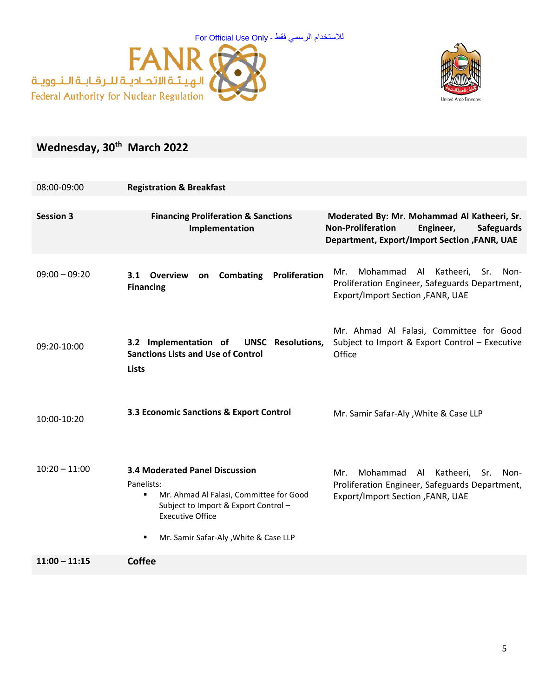



## **Wednesday, 30th March 2022**

| 08:00-09:00      | <b>Registration &amp; Breakfast</b>                                                                                                                                                                                  |                                                                                                                                                           |
|------------------|----------------------------------------------------------------------------------------------------------------------------------------------------------------------------------------------------------------------|-----------------------------------------------------------------------------------------------------------------------------------------------------------|
|                  |                                                                                                                                                                                                                      |                                                                                                                                                           |
| <b>Session 3</b> | <b>Financing Proliferation &amp; Sanctions</b><br>Implementation                                                                                                                                                     | Moderated By: Mr. Mohammad Al Katheeri, Sr.<br><b>Non-Proliferation</b><br>Engineer,<br><b>Safeguards</b><br>Department, Export/Import Section, FANR, UAE |
| $09:00 - 09:20$  | Combating<br>Proliferation<br>3.1 Overview<br>on<br><b>Financing</b>                                                                                                                                                 | Mohammad<br>Al Katheeri,<br>Mr.<br>Sr.<br>Non-<br>Proliferation Engineer, Safeguards Department,<br>Export/Import Section , FANR, UAE                     |
| 09:20-10:00      | 3.2 Implementation of<br><b>UNSC</b> Resolutions,<br><b>Sanctions Lists and Use of Control</b><br><b>Lists</b>                                                                                                       | Mr. Ahmad Al Falasi, Committee for Good<br>Subject to Import & Export Control - Executive<br>Office                                                       |
| 10:00-10:20      | 3.3 Economic Sanctions & Export Control                                                                                                                                                                              | Mr. Samir Safar-Aly, White & Case LLP                                                                                                                     |
| $10:20 - 11:00$  | <b>3.4 Moderated Panel Discussion</b><br>Panelists:<br>Mr. Ahmad Al Falasi, Committee for Good<br>٠<br>Subject to Import & Export Control -<br><b>Executive Office</b><br>Mr. Samir Safar-Aly, White & Case LLP<br>٠ | Mohammad<br>Al Katheeri,<br>Mr.<br>Sr.<br>Non-<br>Proliferation Engineer, Safeguards Department,<br>Export/Import Section , FANR, UAE                     |
| $11:00 - 11:15$  | <b>Coffee</b>                                                                                                                                                                                                        |                                                                                                                                                           |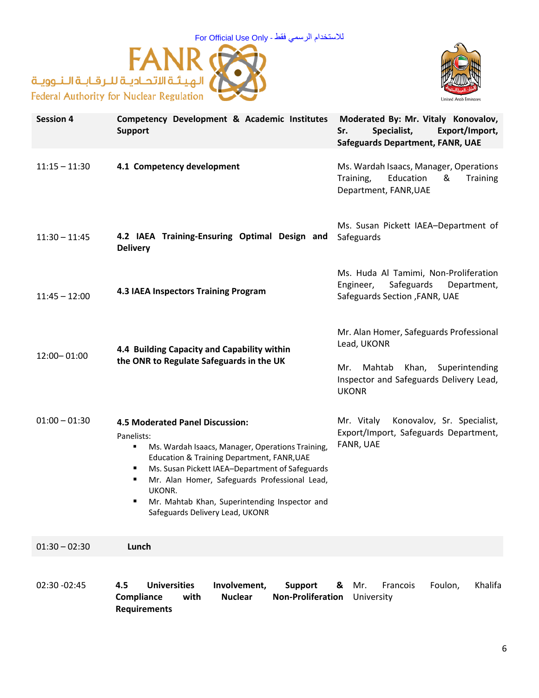For Official Use Only - فقط الرسمي لالستخدام





| <b>Session 4</b> | Competency Development & Academic Institutes<br><b>Support</b>                                                                                                                                                                                                                                                                                                     | Moderated By: Mr. Vitaly Konovalov,<br>Export/Import,<br>Specialist,<br>Sr.<br><b>Safeguards Department, FANR, UAE</b>                                     |  |
|------------------|--------------------------------------------------------------------------------------------------------------------------------------------------------------------------------------------------------------------------------------------------------------------------------------------------------------------------------------------------------------------|------------------------------------------------------------------------------------------------------------------------------------------------------------|--|
| $11:15 - 11:30$  | 4.1 Competency development                                                                                                                                                                                                                                                                                                                                         | Ms. Wardah Isaacs, Manager, Operations<br>Training,<br>Education<br><b>Training</b><br>&<br>Department, FANR, UAE                                          |  |
| $11:30 - 11:45$  | 4.2 IAEA Training-Ensuring Optimal Design and<br><b>Delivery</b>                                                                                                                                                                                                                                                                                                   | Ms. Susan Pickett IAEA-Department of<br>Safeguards                                                                                                         |  |
| $11:45 - 12:00$  | 4.3 IAEA Inspectors Training Program                                                                                                                                                                                                                                                                                                                               | Ms. Huda Al Tamimi, Non-Proliferation<br>Safeguards<br>Department,<br>Engineer,<br>Safeguards Section, FANR, UAE                                           |  |
| 12:00 - 01:00    | 4.4 Building Capacity and Capability within<br>the ONR to Regulate Safeguards in the UK                                                                                                                                                                                                                                                                            | Mr. Alan Homer, Safeguards Professional<br>Lead, UKONR<br>Mahtab<br>Khan, Superintending<br>Mr.<br>Inspector and Safeguards Delivery Lead,<br><b>UKONR</b> |  |
| $01:00 - 01:30$  | <b>4.5 Moderated Panel Discussion:</b><br>Panelists:<br>Ms. Wardah Isaacs, Manager, Operations Training,<br>٠<br>Education & Training Department, FANR, UAE<br>Ms. Susan Pickett IAEA-Department of Safeguards<br>п<br>Mr. Alan Homer, Safeguards Professional Lead,<br>UKONR.<br>Mr. Mahtab Khan, Superintending Inspector and<br>Safeguards Delivery Lead, UKONR | Mr. Vitaly<br>Konovalov, Sr. Specialist,<br>Export/Import, Safeguards Department,<br>FANR, UAE                                                             |  |
| $01:30 - 02:30$  | Lunch                                                                                                                                                                                                                                                                                                                                                              |                                                                                                                                                            |  |
| 02:30 -02:45     | 4.5<br><b>Universities</b><br>Involvement,<br><b>Support</b><br><b>Non-Proliferation</b><br>Compliance<br><b>Nuclear</b><br>with<br><b>Requirements</b>                                                                                                                                                                                                            | Foulon,<br>Khalifa<br>&<br>Mr.<br>Francois<br>University                                                                                                   |  |